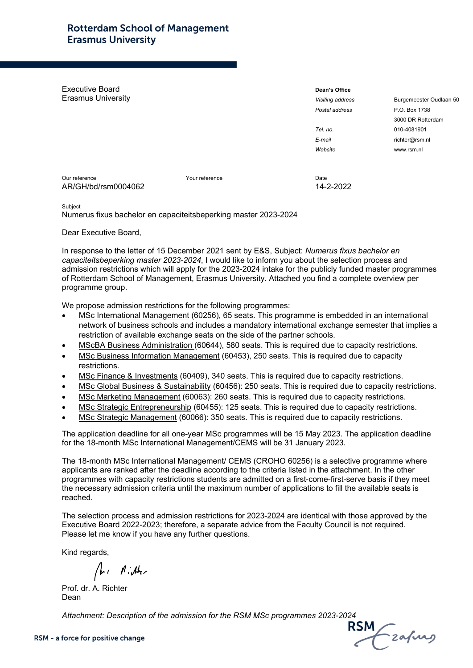Executive Board Erasmus University

| Dean's Office    |
|------------------|
| Visiting address |
| Postal address   |
|                  |
| Tel. no.         |
| E-mail           |
| Website          |
|                  |

*Visiting address* Burgemeester Oudlaan 50 *Postal address* P.O. Box 1738 3000 DR Rotterdam *Tel. no.* 010-4081901 *E-mail* richter@rsm.nl *Website* www.rsm.nl

Our reference Your reference Date AR/GH/bd/rsm0004062 14-2-2022

Subject

Numerus fixus bachelor en capaciteitsbeperking master 2023-2024

Dear Executive Board,

In response to the letter of 15 December 2021 sent by E&S, Subject: *Numerus fixus bachelor en capaciteitsbeperking master 2023-2024*, I would like to inform you about the selection process and admission restrictions which will apply for the 2023-2024 intake for the publicly funded master programmes of Rotterdam School of Management, Erasmus University. Attached you find a complete overview per programme group.

We propose admission restrictions for the following programmes:

- MSc International Management (60256), 65 seats. This programme is embedded in an international network of business schools and includes a mandatory international exchange semester that implies a restriction of available exchange seats on the side of the partner schools.
- MScBA Business Administration (60644), 580 seats. This is required due to capacity restrictions.
- MSc Business Information Management (60453), 250 seats. This is required due to capacity restrictions.
- MSc Finance & Investments (60409), 340 seats. This is required due to capacity restrictions.
- MSc Global Business & Sustainability (60456): 250 seats. This is required due to capacity restrictions.
- MSc Marketing Management (60063): 260 seats. This is required due to capacity restrictions.
- MSc Strategic Entrepreneurship (60455): 125 seats. This is required due to capacity restrictions.
- MSc Strategic Management (60066): 350 seats. This is required due to capacity restrictions.

The application deadline for all one-year MSc programmes will be 15 May 2023. The application deadline for the 18-month MSc International Management/CEMS will be 31 January 2023.

The 18-month MSc International Management/ CEMS (CROHO 60256) is a selective programme where applicants are ranked after the deadline according to the criteria listed in the attachment. In the other programmes with capacity restrictions students are admitted on a first-come-first-serve basis if they meet the necessary admission criteria until the maximum number of applications to fill the available seats is reached.

The selection process and admission restrictions for 2023-2024 are identical with those approved by the Executive Board 2022-2023; therefore, a separate advice from the Faculty Council is not required. Please let me know if you have any further questions.

Kind regards,

A. Miller

Prof. dr. A. Richter Dean

Attachment: Description of the admission for the RSM MSc programmes 2023-2024<br>**RSM RSM Proce for positive change**<br>Cafuu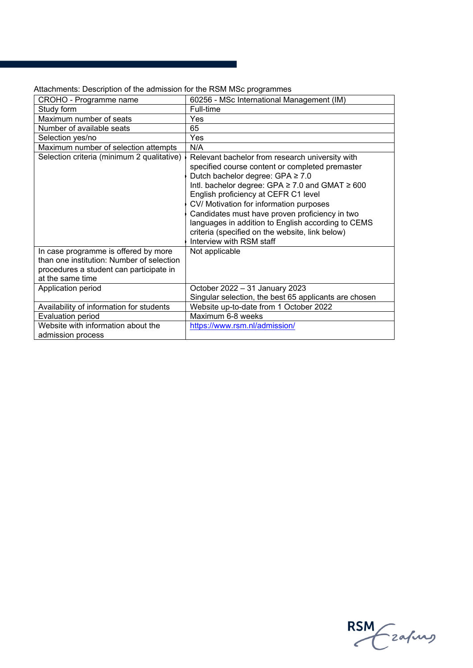| CROHO - Programme name                                                                                                                           | 60256 - MSc International Management (IM)                                                                                                                                                                                                                                                                                                                                                                                                                                     |
|--------------------------------------------------------------------------------------------------------------------------------------------------|-------------------------------------------------------------------------------------------------------------------------------------------------------------------------------------------------------------------------------------------------------------------------------------------------------------------------------------------------------------------------------------------------------------------------------------------------------------------------------|
| Study form                                                                                                                                       | Full-time                                                                                                                                                                                                                                                                                                                                                                                                                                                                     |
| Maximum number of seats                                                                                                                          | Yes                                                                                                                                                                                                                                                                                                                                                                                                                                                                           |
| Number of available seats                                                                                                                        | 65                                                                                                                                                                                                                                                                                                                                                                                                                                                                            |
| Selection yes/no                                                                                                                                 | Yes                                                                                                                                                                                                                                                                                                                                                                                                                                                                           |
| Maximum number of selection attempts                                                                                                             | N/A                                                                                                                                                                                                                                                                                                                                                                                                                                                                           |
| Selection criteria (minimum 2 qualitative)                                                                                                       | Relevant bachelor from research university with<br>specified course content or completed premaster<br>Dutch bachelor degree: GPA ≥ 7.0<br>Intl. bachelor degree: GPA $\geq$ 7.0 and GMAT $\geq$ 600<br>English proficiency at CEFR C1 level<br>CV/ Motivation for information purposes<br>Candidates must have proven proficiency in two<br>languages in addition to English according to CEMS<br>criteria (specified on the website, link below)<br>Interview with RSM staff |
| In case programme is offered by more<br>than one institution: Number of selection<br>procedures a student can participate in<br>at the same time | Not applicable                                                                                                                                                                                                                                                                                                                                                                                                                                                                |
| Application period                                                                                                                               | October 2022 - 31 January 2023<br>Singular selection, the best 65 applicants are chosen                                                                                                                                                                                                                                                                                                                                                                                       |
| Availability of information for students                                                                                                         | Website up-to-date from 1 October 2022                                                                                                                                                                                                                                                                                                                                                                                                                                        |
| <b>Evaluation period</b>                                                                                                                         | Maximum 6-8 weeks                                                                                                                                                                                                                                                                                                                                                                                                                                                             |
| Website with information about the<br>admission process                                                                                          | https://www.rsm.nl/admission/                                                                                                                                                                                                                                                                                                                                                                                                                                                 |

Attachments: Description of the admission for the RSM MSc programmes

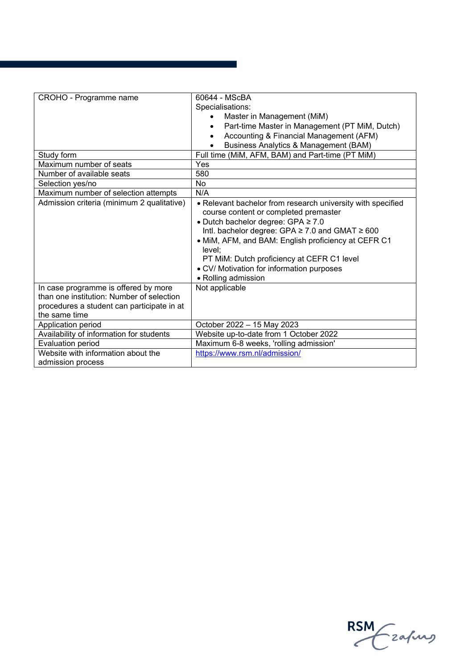| CROHO - Programme name                                                                                                                           | 60644 - MScBA<br>Specialisations:<br>Master in Management (MiM)<br>Part-time Master in Management (PT MiM, Dutch)<br>Accounting & Financial Management (AFM)                                                                                                                                                                                                                               |
|--------------------------------------------------------------------------------------------------------------------------------------------------|--------------------------------------------------------------------------------------------------------------------------------------------------------------------------------------------------------------------------------------------------------------------------------------------------------------------------------------------------------------------------------------------|
| Study form                                                                                                                                       | <b>Business Analytics &amp; Management (BAM)</b><br>Full time (MiM, AFM, BAM) and Part-time (PT MiM)                                                                                                                                                                                                                                                                                       |
| Maximum number of seats                                                                                                                          | Yes                                                                                                                                                                                                                                                                                                                                                                                        |
| Number of available seats                                                                                                                        | 580                                                                                                                                                                                                                                                                                                                                                                                        |
| Selection yes/no                                                                                                                                 | No                                                                                                                                                                                                                                                                                                                                                                                         |
| Maximum number of selection attempts                                                                                                             | N/A                                                                                                                                                                                                                                                                                                                                                                                        |
| Admission criteria (minimum 2 qualitative)                                                                                                       | • Relevant bachelor from research university with specified<br>course content or completed premaster<br>• Dutch bachelor degree: GPA ≥ 7.0<br>Intl. bachelor degree: GPA $\geq$ 7.0 and GMAT $\geq$ 600<br>• MiM, AFM, and BAM: English proficiency at CEFR C1<br>level:<br>PT MiM: Dutch proficiency at CEFR C1 level<br>• CV/ Motivation for information purposes<br>• Rolling admission |
| In case programme is offered by more<br>than one institution: Number of selection<br>procedures a student can participate in at<br>the same time | Not applicable                                                                                                                                                                                                                                                                                                                                                                             |
| Application period                                                                                                                               | October 2022 - 15 May 2023                                                                                                                                                                                                                                                                                                                                                                 |
| Availability of information for students                                                                                                         | Website up-to-date from 1 October 2022                                                                                                                                                                                                                                                                                                                                                     |
| Evaluation period                                                                                                                                | Maximum 6-8 weeks, 'rolling admission'                                                                                                                                                                                                                                                                                                                                                     |
| Website with information about the<br>admission process                                                                                          | https://www.rsm.nl/admission/                                                                                                                                                                                                                                                                                                                                                              |

a sa kacamatan ing Kabupatèn Kabupatèn Kabupatèn Kabupatèn Kabupatèn Kabupatèn Kabupatèn Kabupatèn Kabupatèn K

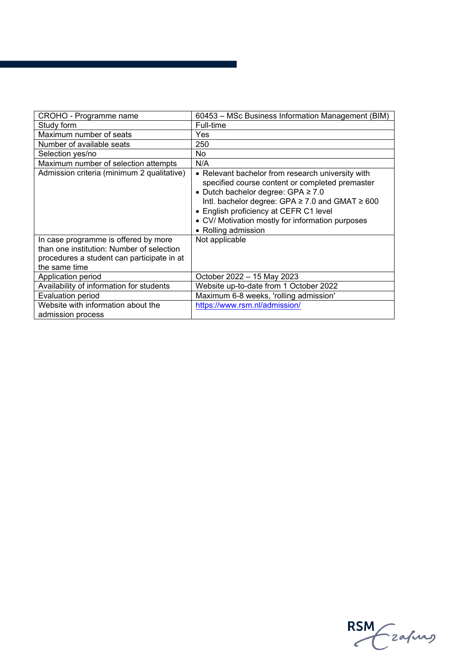| CROHO - Programme name                                                                                                                           | 60453 - MSc Business Information Management (BIM)                                                                                                                                                                                                                                                                            |
|--------------------------------------------------------------------------------------------------------------------------------------------------|------------------------------------------------------------------------------------------------------------------------------------------------------------------------------------------------------------------------------------------------------------------------------------------------------------------------------|
| Study form                                                                                                                                       | Full-time                                                                                                                                                                                                                                                                                                                    |
| Maximum number of seats                                                                                                                          | Yes                                                                                                                                                                                                                                                                                                                          |
| Number of available seats                                                                                                                        | 250                                                                                                                                                                                                                                                                                                                          |
| Selection yes/no                                                                                                                                 | No.                                                                                                                                                                                                                                                                                                                          |
| Maximum number of selection attempts                                                                                                             | N/A                                                                                                                                                                                                                                                                                                                          |
| Admission criteria (minimum 2 qualitative)                                                                                                       | • Relevant bachelor from research university with<br>specified course content or completed premaster<br>• Dutch bachelor degree: GPA ≥ 7.0<br>Intl. bachelor degree: GPA $\geq$ 7.0 and GMAT $\geq$ 600<br>• English proficiency at CEFR C1 level<br>• CV/ Motivation mostly for information purposes<br>• Rolling admission |
| In case programme is offered by more<br>than one institution: Number of selection<br>procedures a student can participate in at<br>the same time | Not applicable                                                                                                                                                                                                                                                                                                               |
| Application period                                                                                                                               | October 2022 - 15 May 2023                                                                                                                                                                                                                                                                                                   |
| Availability of information for students                                                                                                         | Website up-to-date from 1 October 2022                                                                                                                                                                                                                                                                                       |
| <b>Evaluation period</b>                                                                                                                         | Maximum 6-8 weeks, 'rolling admission'                                                                                                                                                                                                                                                                                       |
| Website with information about the<br>admission process                                                                                          | https://www.rsm.nl/admission/                                                                                                                                                                                                                                                                                                |

a sa kacamatan ing Kabupatèn Kabupatèn Kabupatèn Kabupatèn Kabupatèn Kabupatèn Kabupatèn Kabupatèn Kabupatèn K

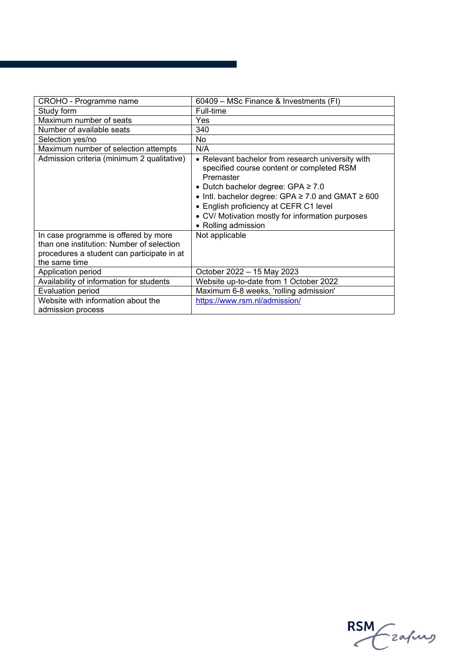| CROHO - Programme name                                  | 60409 - MSc Finance & Investments (FI)                                                                                                                                                                                                                                                                                                     |
|---------------------------------------------------------|--------------------------------------------------------------------------------------------------------------------------------------------------------------------------------------------------------------------------------------------------------------------------------------------------------------------------------------------|
| Study form                                              | Full-time                                                                                                                                                                                                                                                                                                                                  |
| Maximum number of seats                                 | Yes                                                                                                                                                                                                                                                                                                                                        |
| Number of available seats                               | 340                                                                                                                                                                                                                                                                                                                                        |
| Selection yes/no                                        | No.                                                                                                                                                                                                                                                                                                                                        |
| Maximum number of selection attempts                    | N/A                                                                                                                                                                                                                                                                                                                                        |
| Admission criteria (minimum 2 qualitative)              | • Relevant bachelor from research university with<br>specified course content or completed RSM<br>Premaster<br>• Dutch bachelor degree: GPA $\geq 7.0$<br>• Intl. bachelor degree: GPA $\geq$ 7.0 and GMAT $\geq$ 600<br>• English proficiency at CEFR C1 level<br>• CV/ Motivation mostly for information purposes<br>• Rolling admission |
| In case programme is offered by more                    | Not applicable                                                                                                                                                                                                                                                                                                                             |
| than one institution: Number of selection               |                                                                                                                                                                                                                                                                                                                                            |
| procedures a student can participate in at              |                                                                                                                                                                                                                                                                                                                                            |
| the same time                                           |                                                                                                                                                                                                                                                                                                                                            |
| Application period                                      | October 2022 - 15 May 2023                                                                                                                                                                                                                                                                                                                 |
| Availability of information for students                | Website up-to-date from 1 October 2022                                                                                                                                                                                                                                                                                                     |
| <b>Evaluation period</b>                                | Maximum 6-8 weeks, 'rolling admission'                                                                                                                                                                                                                                                                                                     |
| Website with information about the<br>admission process | https://www.rsm.nl/admission/                                                                                                                                                                                                                                                                                                              |

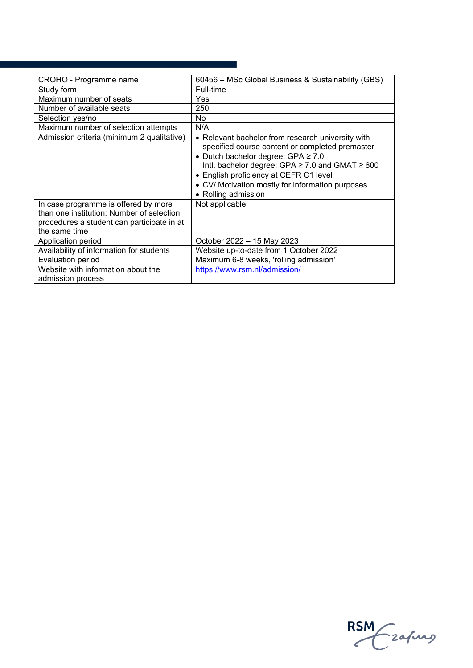| CROHO - Programme name                                                                                                                           | 60456 - MSc Global Business & Sustainability (GBS)                                                                                                                                                                                                                                                                                |
|--------------------------------------------------------------------------------------------------------------------------------------------------|-----------------------------------------------------------------------------------------------------------------------------------------------------------------------------------------------------------------------------------------------------------------------------------------------------------------------------------|
| Study form                                                                                                                                       | Full-time                                                                                                                                                                                                                                                                                                                         |
| Maximum number of seats                                                                                                                          | Yes                                                                                                                                                                                                                                                                                                                               |
| Number of available seats                                                                                                                        | 250                                                                                                                                                                                                                                                                                                                               |
| Selection yes/no                                                                                                                                 | <b>No</b>                                                                                                                                                                                                                                                                                                                         |
| Maximum number of selection attempts                                                                                                             | N/A                                                                                                                                                                                                                                                                                                                               |
| Admission criteria (minimum 2 qualitative)                                                                                                       | • Relevant bachelor from research university with<br>specified course content or completed premaster<br>• Dutch bachelor degree: GPA $\geq 7.0$<br>Intl. bachelor degree: GPA $\geq$ 7.0 and GMAT $\geq$ 600<br>• English proficiency at CEFR C1 level<br>• CV/ Motivation mostly for information purposes<br>• Rolling admission |
| In case programme is offered by more<br>than one institution: Number of selection<br>procedures a student can participate in at<br>the same time | Not applicable                                                                                                                                                                                                                                                                                                                    |
| Application period                                                                                                                               | October 2022 - 15 May 2023                                                                                                                                                                                                                                                                                                        |
| Availability of information for students                                                                                                         | Website up-to-date from 1 October 2022                                                                                                                                                                                                                                                                                            |
| Evaluation period                                                                                                                                | Maximum 6-8 weeks, 'rolling admission'                                                                                                                                                                                                                                                                                            |
| Website with information about the<br>admission process                                                                                          | https://www.rsm.nl/admission/                                                                                                                                                                                                                                                                                                     |

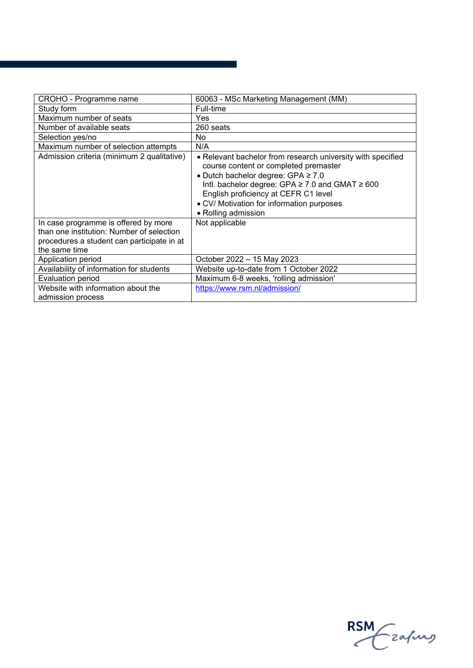| CROHO - Programme name                                                                                                                           | 60063 - MSc Marketing Management (MM)                                                                                                                                                                                                                                                                          |
|--------------------------------------------------------------------------------------------------------------------------------------------------|----------------------------------------------------------------------------------------------------------------------------------------------------------------------------------------------------------------------------------------------------------------------------------------------------------------|
| Study form                                                                                                                                       | Full-time                                                                                                                                                                                                                                                                                                      |
| Maximum number of seats                                                                                                                          | Yes.                                                                                                                                                                                                                                                                                                           |
| Number of available seats                                                                                                                        | 260 seats                                                                                                                                                                                                                                                                                                      |
| Selection yes/no                                                                                                                                 | No                                                                                                                                                                                                                                                                                                             |
| Maximum number of selection attempts                                                                                                             | N/A                                                                                                                                                                                                                                                                                                            |
| Admission criteria (minimum 2 qualitative)                                                                                                       | • Relevant bachelor from research university with specified<br>course content or completed premaster<br>• Dutch bachelor degree: GPA $\geq 7.0$<br>Intl. bachelor degree: GPA ≥ 7.0 and GMAT ≥ 600<br>English proficiency at CEFR C1 level<br>• CV/ Motivation for information purposes<br>• Rolling admission |
| In case programme is offered by more<br>than one institution: Number of selection<br>procedures a student can participate in at<br>the same time | Not applicable                                                                                                                                                                                                                                                                                                 |
| Application period                                                                                                                               | October 2022 - 15 May 2023                                                                                                                                                                                                                                                                                     |
| Availability of information for students                                                                                                         | Website up-to-date from 1 October 2022                                                                                                                                                                                                                                                                         |
| <b>Evaluation period</b>                                                                                                                         | Maximum 6-8 weeks, 'rolling admission'                                                                                                                                                                                                                                                                         |
| Website with information about the                                                                                                               | https://www.rsm.nl/admission/                                                                                                                                                                                                                                                                                  |
| admission process                                                                                                                                |                                                                                                                                                                                                                                                                                                                |

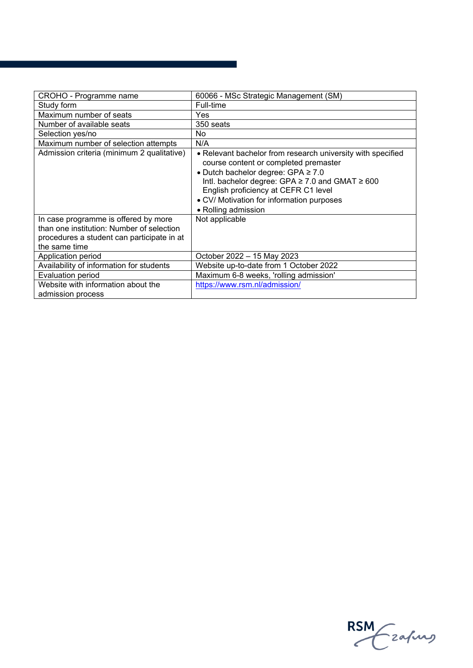| CROHO - Programme name                                                                                                                           | 60066 - MSc Strategic Management (SM)                                                                                                                                                                                                                                                                     |
|--------------------------------------------------------------------------------------------------------------------------------------------------|-----------------------------------------------------------------------------------------------------------------------------------------------------------------------------------------------------------------------------------------------------------------------------------------------------------|
| Study form                                                                                                                                       | Full-time                                                                                                                                                                                                                                                                                                 |
| Maximum number of seats                                                                                                                          | Yes                                                                                                                                                                                                                                                                                                       |
| Number of available seats                                                                                                                        | 350 seats                                                                                                                                                                                                                                                                                                 |
| Selection yes/no                                                                                                                                 | <b>No</b>                                                                                                                                                                                                                                                                                                 |
| Maximum number of selection attempts                                                                                                             | N/A                                                                                                                                                                                                                                                                                                       |
| Admission criteria (minimum 2 qualitative)                                                                                                       | • Relevant bachelor from research university with specified<br>course content or completed premaster<br>• Dutch bachelor degree: GPA ≥ 7.0<br>Intl. bachelor degree: GPA ≥ 7.0 and GMAT ≥ 600<br>English proficiency at CEFR C1 level<br>• CV/ Motivation for information purposes<br>• Rolling admission |
| In case programme is offered by more<br>than one institution: Number of selection<br>procedures a student can participate in at<br>the same time | Not applicable                                                                                                                                                                                                                                                                                            |
| Application period                                                                                                                               | October 2022 - 15 May 2023                                                                                                                                                                                                                                                                                |
| Availability of information for students                                                                                                         | Website up-to-date from 1 October 2022                                                                                                                                                                                                                                                                    |
| <b>Evaluation period</b>                                                                                                                         | Maximum 6-8 weeks, 'rolling admission'                                                                                                                                                                                                                                                                    |
| Website with information about the                                                                                                               | https://www.rsm.nl/admission/                                                                                                                                                                                                                                                                             |
| admission process                                                                                                                                |                                                                                                                                                                                                                                                                                                           |

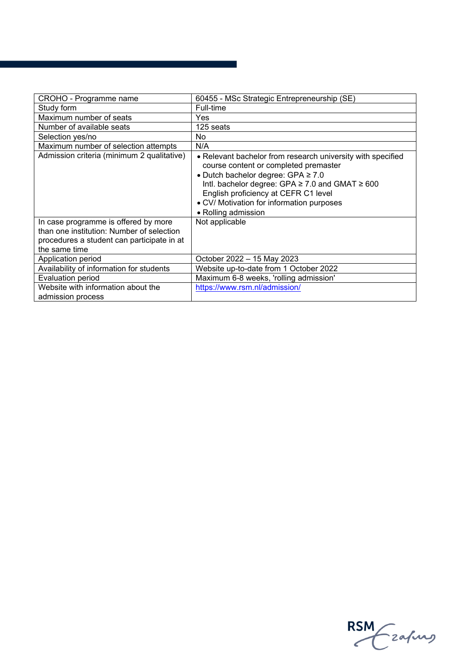| CROHO - Programme name                                                                                                                           | 60455 - MSc Strategic Entrepreneurship (SE)                                                                                                                                                                                                                                                                              |
|--------------------------------------------------------------------------------------------------------------------------------------------------|--------------------------------------------------------------------------------------------------------------------------------------------------------------------------------------------------------------------------------------------------------------------------------------------------------------------------|
| Study form                                                                                                                                       | Full-time                                                                                                                                                                                                                                                                                                                |
| Maximum number of seats                                                                                                                          | Yes.                                                                                                                                                                                                                                                                                                                     |
| Number of available seats                                                                                                                        | 125 seats                                                                                                                                                                                                                                                                                                                |
| Selection yes/no                                                                                                                                 | <b>No</b>                                                                                                                                                                                                                                                                                                                |
| Maximum number of selection attempts                                                                                                             | N/A                                                                                                                                                                                                                                                                                                                      |
| Admission criteria (minimum 2 qualitative)                                                                                                       | • Relevant bachelor from research university with specified<br>course content or completed premaster<br>• Dutch bachelor degree: GPA $\geq 7.0$<br>Intl. bachelor degree: GPA $\geq$ 7.0 and GMAT $\geq$ 600<br>English proficiency at CEFR C1 level<br>• CV/ Motivation for information purposes<br>• Rolling admission |
| In case programme is offered by more<br>than one institution: Number of selection<br>procedures a student can participate in at<br>the same time | Not applicable                                                                                                                                                                                                                                                                                                           |
| Application period                                                                                                                               | October 2022 - 15 May 2023                                                                                                                                                                                                                                                                                               |
| Availability of information for students                                                                                                         | Website up-to-date from 1 October 2022                                                                                                                                                                                                                                                                                   |
| <b>Evaluation period</b>                                                                                                                         | Maximum 6-8 weeks, 'rolling admission'                                                                                                                                                                                                                                                                                   |
| Website with information about the                                                                                                               | https://www.rsm.nl/admission/                                                                                                                                                                                                                                                                                            |
| admission process                                                                                                                                |                                                                                                                                                                                                                                                                                                                          |